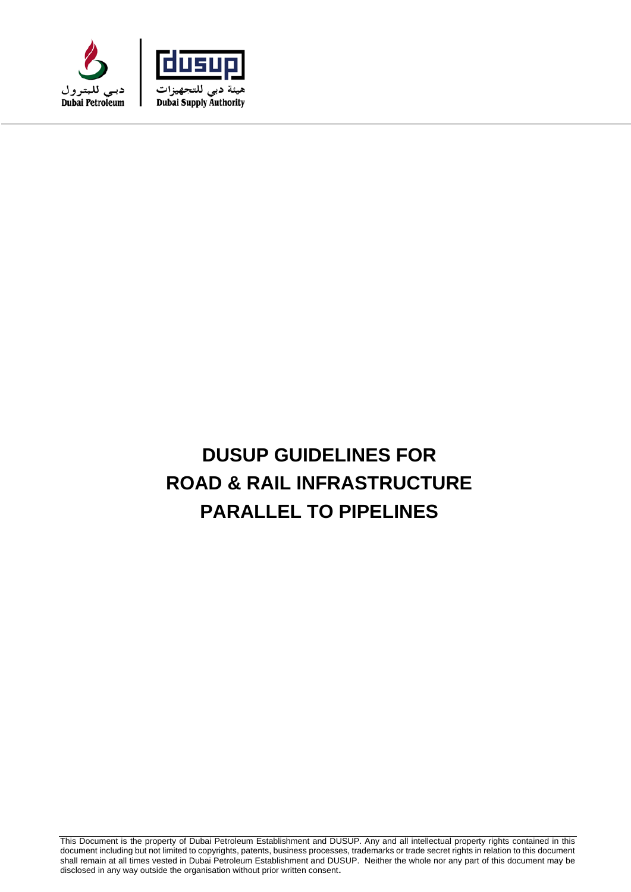



# **DUSUP GUIDELINES FOR ROAD & RAIL INFRASTRUCTURE PARALLEL TO PIPELINES**

This Document is the property of Dubai Petroleum Establishment and DUSUP. Any and all intellectual property rights contained in this document including but not limited to copyrights, patents, business processes, trademarks or trade secret rights in relation to this document shall remain at all times vested in Dubai Petroleum Establishment and DUSUP. Neither the whole nor any part of this document may be disclosed in any way outside the organisation without prior written consent.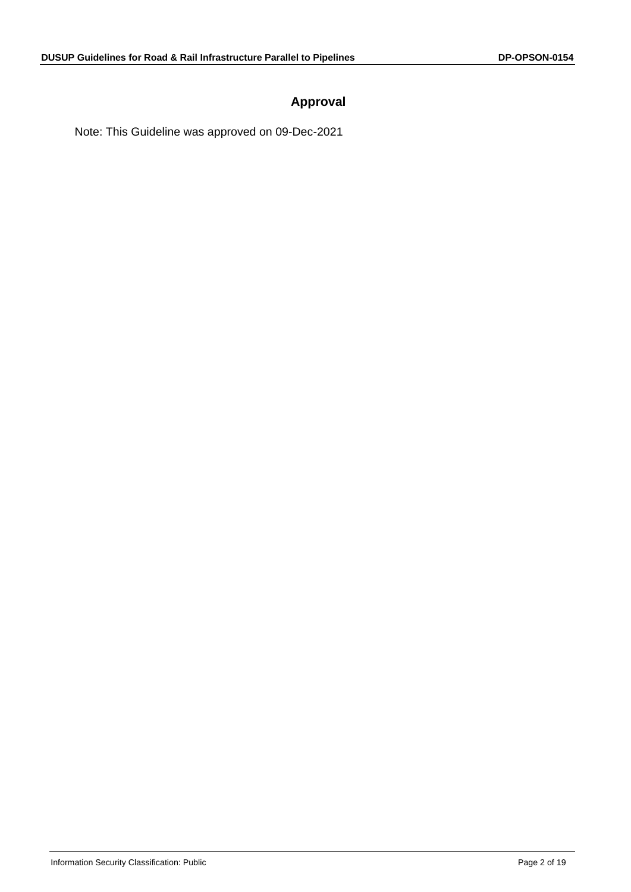# **Approval**

Note: This Guideline was approved on 09-Dec-2021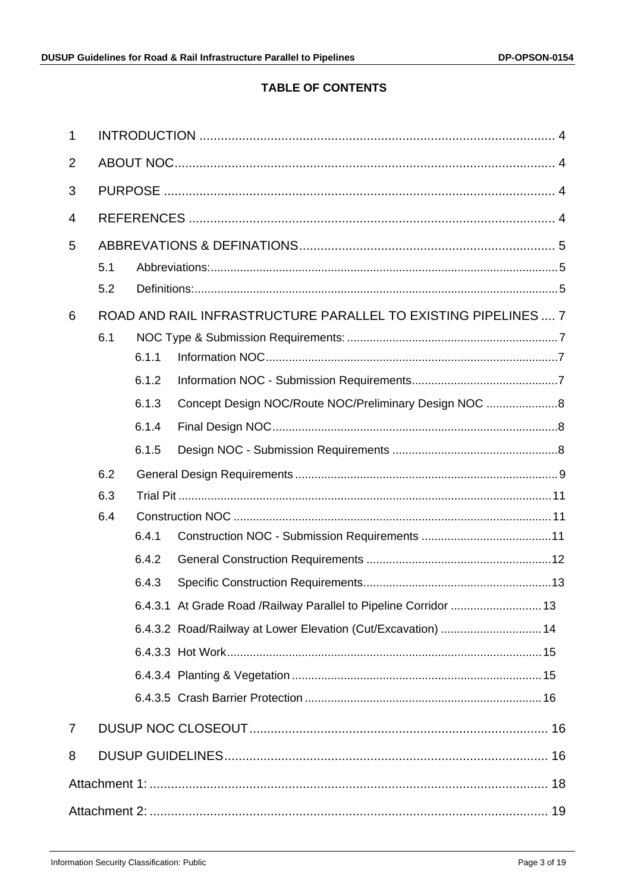# **TABLE OF CONTENTS**

| 1              |     |       |                                                                   |  |  |
|----------------|-----|-------|-------------------------------------------------------------------|--|--|
| 2              |     |       |                                                                   |  |  |
| 3              |     |       |                                                                   |  |  |
| $\overline{4}$ |     |       |                                                                   |  |  |
| 5              |     |       |                                                                   |  |  |
|                | 5.1 |       |                                                                   |  |  |
|                | 5.2 |       |                                                                   |  |  |
| 6              |     |       | ROAD AND RAIL INFRASTRUCTURE PARALLEL TO EXISTING PIPELINES  7    |  |  |
|                | 6.1 |       |                                                                   |  |  |
|                |     | 6.1.1 |                                                                   |  |  |
|                |     | 6.1.2 |                                                                   |  |  |
|                |     | 6.1.3 | Concept Design NOC/Route NOC/Preliminary Design NOC 8             |  |  |
|                |     | 6.1.4 |                                                                   |  |  |
|                |     | 6.1.5 |                                                                   |  |  |
|                | 6.2 |       |                                                                   |  |  |
|                | 6.3 |       |                                                                   |  |  |
|                | 6.4 |       |                                                                   |  |  |
|                |     | 6.4.1 |                                                                   |  |  |
|                |     | 6.4.2 |                                                                   |  |  |
|                |     | 6.4.3 |                                                                   |  |  |
|                |     |       | 6.4.3.1 At Grade Road / Railway Parallel to Pipeline Corridor  13 |  |  |
|                |     |       | 6.4.3.2 Road/Railway at Lower Elevation (Cut/Excavation)  14      |  |  |
|                |     |       |                                                                   |  |  |
|                |     |       |                                                                   |  |  |
|                |     |       |                                                                   |  |  |
| $\overline{7}$ |     |       |                                                                   |  |  |
| 8              |     |       |                                                                   |  |  |
|                |     |       |                                                                   |  |  |
|                |     |       |                                                                   |  |  |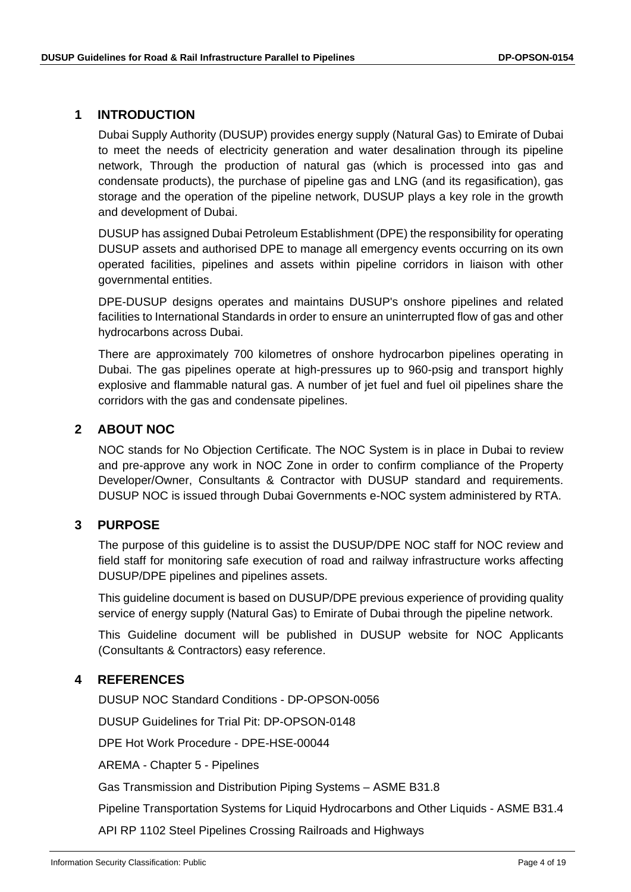#### <span id="page-3-0"></span>**1 INTRODUCTION**

Dubai Supply Authority (DUSUP) provides energy supply (Natural Gas) to Emirate of Dubai to meet the needs of electricity generation and water desalination through its pipeline network, Through the production of natural gas (which is processed into gas and condensate products), the purchase of pipeline gas and LNG (and its regasification), gas storage and the operation of the pipeline network, DUSUP plays a key role in the growth and development of Dubai.

DUSUP has assigned Dubai Petroleum Establishment (DPE) the responsibility for operating DUSUP assets and authorised DPE to manage all emergency events occurring on its own operated facilities, pipelines and assets within pipeline corridors in liaison with other governmental entities.

DPE-DUSUP designs operates and maintains DUSUP's onshore pipelines and related facilities to International Standards in order to ensure an uninterrupted flow of gas and other hydrocarbons across Dubai.

There are approximately 700 kilometres of onshore hydrocarbon pipelines operating in Dubai. The gas pipelines operate at high-pressures up to 960-psig and transport highly explosive and flammable natural gas. A number of jet fuel and fuel oil pipelines share the corridors with the gas and condensate pipelines.

## <span id="page-3-1"></span>**2 ABOUT NOC**

NOC stands for No Objection Certificate. The NOC System is in place in Dubai to review and pre-approve any work in NOC Zone in order to confirm compliance of the Property Developer/Owner, Consultants & Contractor with DUSUP standard and requirements. DUSUP NOC is issued through Dubai Governments e-NOC system administered by RTA.

#### <span id="page-3-2"></span>**3 PURPOSE**

The purpose of this guideline is to assist the DUSUP/DPE NOC staff for NOC review and field staff for monitoring safe execution of road and railway infrastructure works affecting DUSUP/DPE pipelines and pipelines assets.

This guideline document is based on DUSUP/DPE previous experience of providing quality service of energy supply (Natural Gas) to Emirate of Dubai through the pipeline network.

This Guideline document will be published in DUSUP website for NOC Applicants (Consultants & Contractors) easy reference.

## <span id="page-3-3"></span>**4 REFERENCES**

DUSUP NOC Standard Conditions - DP-OPSON-0056

DUSUP Guidelines for Trial Pit: DP-OPSON-0148

DPE Hot Work Procedure - DPE-HSE-00044

AREMA - Chapter 5 - Pipelines

Gas Transmission and Distribution Piping Systems – ASME B31.8

Pipeline Transportation Systems for Liquid Hydrocarbons and Other Liquids - ASME B31.4

API RP 1102 Steel Pipelines Crossing Railroads and Highways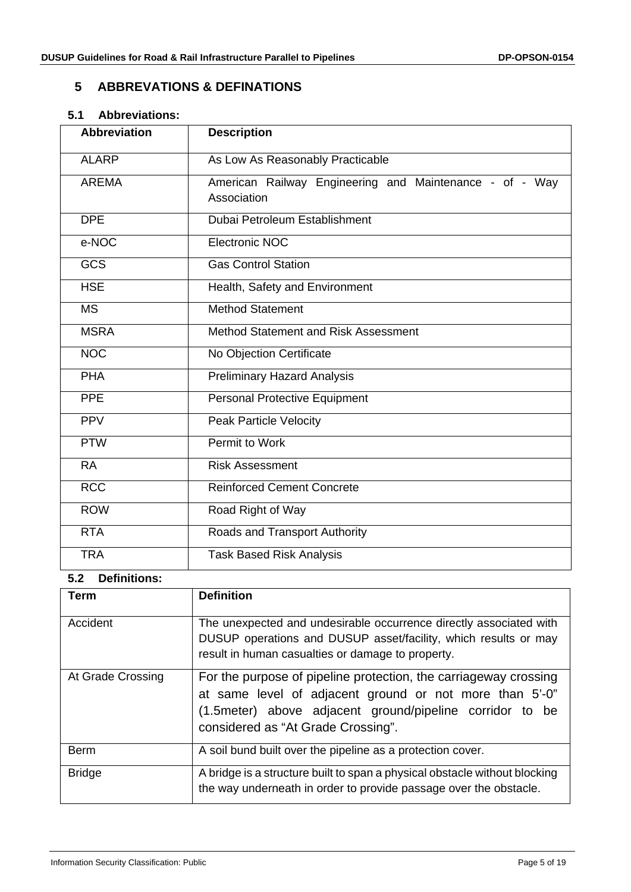## <span id="page-4-0"></span>**5 ABBREVATIONS & DEFINATIONS**

#### <span id="page-4-1"></span>**5.1 Abbreviations:**

| <b>Abbreviation</b> | <b>Description</b>                                                     |
|---------------------|------------------------------------------------------------------------|
| <b>ALARP</b>        | As Low As Reasonably Practicable                                       |
| <b>AREMA</b>        | American Railway Engineering and Maintenance - of - Way<br>Association |
| <b>DPE</b>          | Dubai Petroleum Establishment                                          |
| e-NOC               | Electronic NOC                                                         |
| GCS                 | <b>Gas Control Station</b>                                             |
| <b>HSE</b>          | Health, Safety and Environment                                         |
| <b>MS</b>           | <b>Method Statement</b>                                                |
| <b>MSRA</b>         | Method Statement and Risk Assessment                                   |
| <b>NOC</b>          | No Objection Certificate                                               |
| <b>PHA</b>          | <b>Preliminary Hazard Analysis</b>                                     |
| <b>PPE</b>          | <b>Personal Protective Equipment</b>                                   |
| <b>PPV</b>          | <b>Peak Particle Velocity</b>                                          |
| <b>PTW</b>          | Permit to Work                                                         |
| <b>RA</b>           | <b>Risk Assessment</b>                                                 |
| <b>RCC</b>          | <b>Reinforced Cement Concrete</b>                                      |
| <b>ROW</b>          | Road Right of Way                                                      |
| <b>RTA</b>          | Roads and Transport Authority                                          |
| <b>TRA</b>          | <b>Task Based Risk Analysis</b>                                        |

# <span id="page-4-2"></span>**5.2 Definitions:**

| Term              | <b>Definition</b>                                                                                                                                                                                                              |
|-------------------|--------------------------------------------------------------------------------------------------------------------------------------------------------------------------------------------------------------------------------|
| Accident          | The unexpected and undesirable occurrence directly associated with<br>DUSUP operations and DUSUP asset/facility, which results or may                                                                                          |
|                   | result in human casualties or damage to property.                                                                                                                                                                              |
| At Grade Crossing | For the purpose of pipeline protection, the carriageway crossing<br>at same level of adjacent ground or not more than 5'-0"<br>(1.5 meter) above adjacent ground/pipeline corridor to be<br>considered as "At Grade Crossing". |
| <b>Berm</b>       | A soil bund built over the pipeline as a protection cover.                                                                                                                                                                     |
| <b>Bridge</b>     | A bridge is a structure built to span a physical obstacle without blocking<br>the way underneath in order to provide passage over the obstacle.                                                                                |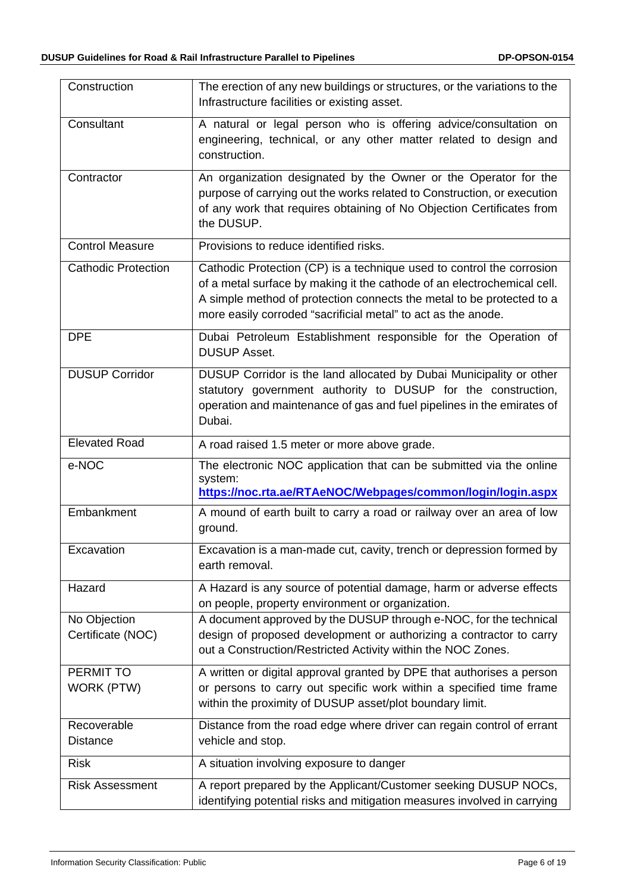| Construction                      | The erection of any new buildings or structures, or the variations to the<br>Infrastructure facilities or existing asset.                                                                                                                                                                  |
|-----------------------------------|--------------------------------------------------------------------------------------------------------------------------------------------------------------------------------------------------------------------------------------------------------------------------------------------|
| Consultant                        | A natural or legal person who is offering advice/consultation on<br>engineering, technical, or any other matter related to design and<br>construction.                                                                                                                                     |
| Contractor                        | An organization designated by the Owner or the Operator for the<br>purpose of carrying out the works related to Construction, or execution<br>of any work that requires obtaining of No Objection Certificates from<br>the DUSUP.                                                          |
| <b>Control Measure</b>            | Provisions to reduce identified risks.                                                                                                                                                                                                                                                     |
| <b>Cathodic Protection</b>        | Cathodic Protection (CP) is a technique used to control the corrosion<br>of a metal surface by making it the cathode of an electrochemical cell.<br>A simple method of protection connects the metal to be protected to a<br>more easily corroded "sacrificial metal" to act as the anode. |
| <b>DPE</b>                        | Dubai Petroleum Establishment responsible for the Operation of<br><b>DUSUP Asset.</b>                                                                                                                                                                                                      |
| <b>DUSUP Corridor</b>             | DUSUP Corridor is the land allocated by Dubai Municipality or other<br>statutory government authority to DUSUP for the construction,<br>operation and maintenance of gas and fuel pipelines in the emirates of<br>Dubai.                                                                   |
| <b>Elevated Road</b>              | A road raised 1.5 meter or more above grade.                                                                                                                                                                                                                                               |
| e-NOC                             | The electronic NOC application that can be submitted via the online<br>system:<br>https://noc.rta.ae/RTAeNOC/Webpages/common/login/login.aspx                                                                                                                                              |
| Embankment                        | A mound of earth built to carry a road or railway over an area of low<br>ground.                                                                                                                                                                                                           |
| Excavation                        | Excavation is a man-made cut, cavity, trench or depression formed by<br>earth removal.                                                                                                                                                                                                     |
| Hazard                            | A Hazard is any source of potential damage, harm or adverse effects<br>on people, property environment or organization.                                                                                                                                                                    |
| No Objection<br>Certificate (NOC) | A document approved by the DUSUP through e-NOC, for the technical<br>design of proposed development or authorizing a contractor to carry<br>out a Construction/Restricted Activity within the NOC Zones.                                                                                   |
| PERMIT TO<br>WORK (PTW)           | A written or digital approval granted by DPE that authorises a person<br>or persons to carry out specific work within a specified time frame<br>within the proximity of DUSUP asset/plot boundary limit.                                                                                   |
| Recoverable<br><b>Distance</b>    | Distance from the road edge where driver can regain control of errant<br>vehicle and stop.                                                                                                                                                                                                 |
| <b>Risk</b>                       | A situation involving exposure to danger                                                                                                                                                                                                                                                   |
| <b>Risk Assessment</b>            | A report prepared by the Applicant/Customer seeking DUSUP NOCs,<br>identifying potential risks and mitigation measures involved in carrying                                                                                                                                                |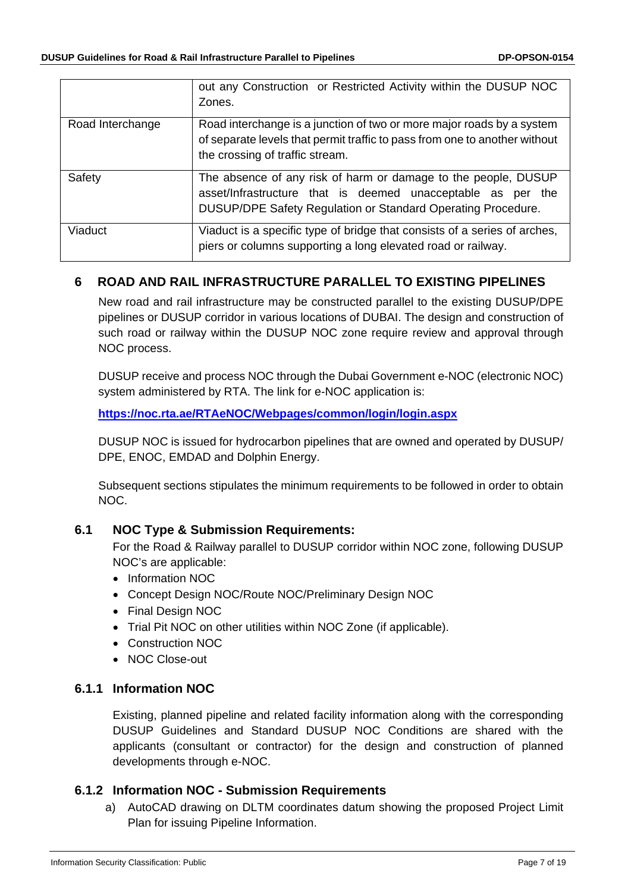|                  | out any Construction or Restricted Activity within the DUSUP NOC<br>Zones.                                                                                                                    |
|------------------|-----------------------------------------------------------------------------------------------------------------------------------------------------------------------------------------------|
| Road Interchange | Road interchange is a junction of two or more major roads by a system<br>of separate levels that permit traffic to pass from one to another without<br>the crossing of traffic stream.        |
| Safety           | The absence of any risk of harm or damage to the people, DUSUP<br>asset/Infrastructure that is deemed unacceptable as per the<br>DUSUP/DPE Safety Regulation or Standard Operating Procedure. |
| Viaduct          | Viaduct is a specific type of bridge that consists of a series of arches,<br>piers or columns supporting a long elevated road or railway.                                                     |

## <span id="page-6-0"></span>**6 ROAD AND RAIL INFRASTRUCTURE PARALLEL TO EXISTING PIPELINES**

New road and rail infrastructure may be constructed parallel to the existing DUSUP/DPE pipelines or DUSUP corridor in various locations of DUBAI. The design and construction of such road or railway within the DUSUP NOC zone require review and approval through NOC process.

DUSUP receive and process NOC through the Dubai Government e-NOC (electronic NOC) system administered by RTA. The link for e-NOC application is:

**<https://noc.rta.ae/RTAeNOC/Webpages/common/login/login.aspx>**

DUSUP NOC is issued for hydrocarbon pipelines that are owned and operated by DUSUP/ DPE, ENOC, EMDAD and Dolphin Energy.

Subsequent sections stipulates the minimum requirements to be followed in order to obtain NOC.

## <span id="page-6-1"></span>**6.1 NOC Type & Submission Requirements:**

For the Road & Railway parallel to DUSUP corridor within NOC zone, following DUSUP NOC's are applicable:

- Information NOC
- Concept Design NOC/Route NOC/Preliminary Design NOC
- Final Design NOC
- Trial Pit NOC on other utilities within NOC Zone (if applicable).
- Construction NOC
- NOC Close-out

## <span id="page-6-2"></span>**6.1.1 Information NOC**

Existing, planned pipeline and related facility information along with the corresponding DUSUP Guidelines and Standard DUSUP NOC Conditions are shared with the applicants (consultant or contractor) for the design and construction of planned developments through e-NOC.

#### <span id="page-6-3"></span>**6.1.2 Information NOC - Submission Requirements**

a) AutoCAD drawing on DLTM coordinates datum showing the proposed Project Limit Plan for issuing Pipeline Information.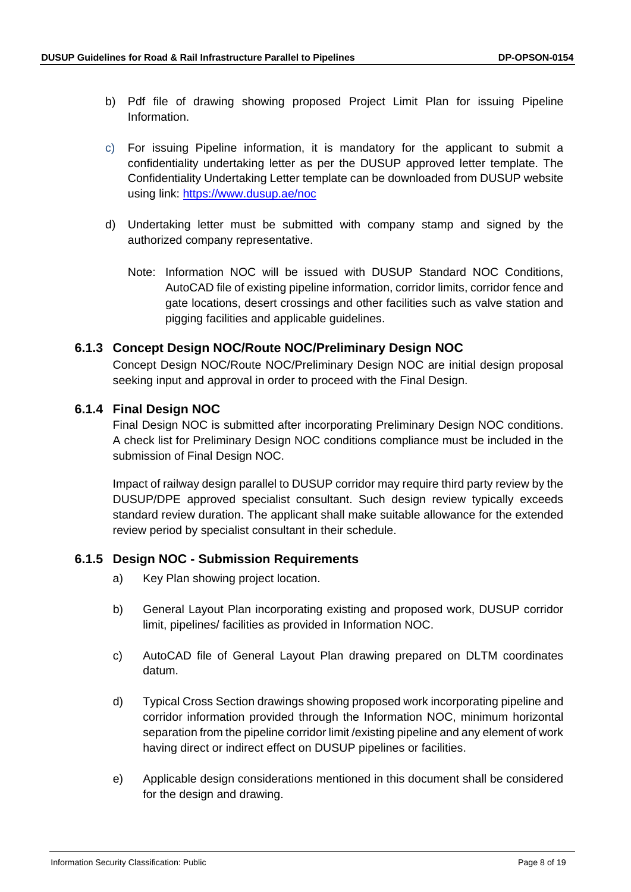- b) Pdf file of drawing showing proposed Project Limit Plan for issuing Pipeline Information.
- c) For issuing Pipeline information, it is mandatory for the applicant to submit a confidentiality undertaking letter as per the DUSUP approved letter template. The Confidentiality Undertaking Letter template can be downloaded from DUSUP website using link: <https://www.dusup.ae/noc>
- d) Undertaking letter must be submitted with company stamp and signed by the authorized company representative.
	- Note: Information NOC will be issued with DUSUP Standard NOC Conditions, AutoCAD file of existing pipeline information, corridor limits, corridor fence and gate locations, desert crossings and other facilities such as valve station and pigging facilities and applicable guidelines.

## <span id="page-7-0"></span>**6.1.3 Concept Design NOC/Route NOC/Preliminary Design NOC**

Concept Design NOC/Route NOC/Preliminary Design NOC are initial design proposal seeking input and approval in order to proceed with the Final Design.

#### <span id="page-7-1"></span>**6.1.4 Final Design NOC**

Final Design NOC is submitted after incorporating Preliminary Design NOC conditions. A check list for Preliminary Design NOC conditions compliance must be included in the submission of Final Design NOC.

Impact of railway design parallel to DUSUP corridor may require third party review by the DUSUP/DPE approved specialist consultant. Such design review typically exceeds standard review duration. The applicant shall make suitable allowance for the extended review period by specialist consultant in their schedule.

#### <span id="page-7-2"></span>**6.1.5 Design NOC - Submission Requirements**

- a) Key Plan showing project location.
- b) General Layout Plan incorporating existing and proposed work, DUSUP corridor limit, pipelines/ facilities as provided in Information NOC.
- c) AutoCAD file of General Layout Plan drawing prepared on DLTM coordinates datum.
- d) Typical Cross Section drawings showing proposed work incorporating pipeline and corridor information provided through the Information NOC, minimum horizontal separation from the pipeline corridor limit /existing pipeline and any element of work having direct or indirect effect on DUSUP pipelines or facilities.
- e) Applicable design considerations mentioned in this document shall be considered for the design and drawing.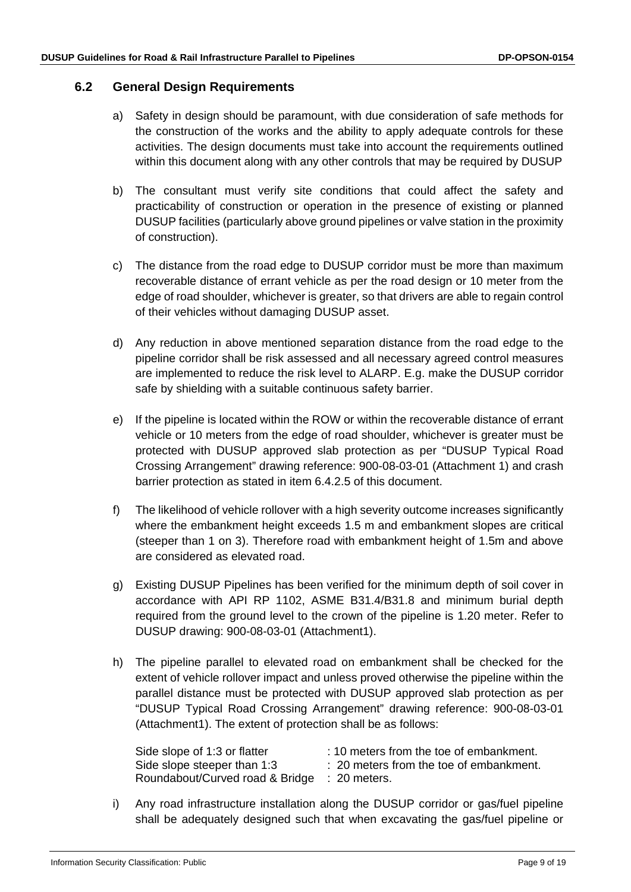#### <span id="page-8-0"></span>**6.2 General Design Requirements**

- a) Safety in design should be paramount, with due consideration of safe methods for the construction of the works and the ability to apply adequate controls for these activities. The design documents must take into account the requirements outlined within this document along with any other controls that may be required by DUSUP
- b) The consultant must verify site conditions that could affect the safety and practicability of construction or operation in the presence of existing or planned DUSUP facilities (particularly above ground pipelines or valve station in the proximity of construction).
- c) The distance from the road edge to DUSUP corridor must be more than maximum recoverable distance of errant vehicle as per the road design or 10 meter from the edge of road shoulder, whichever is greater, so that drivers are able to regain control of their vehicles without damaging DUSUP asset.
- d) Any reduction in above mentioned separation distance from the road edge to the pipeline corridor shall be risk assessed and all necessary agreed control measures are implemented to reduce the risk level to ALARP. E.g. make the DUSUP corridor safe by shielding with a suitable continuous safety barrier.
- e) If the pipeline is located within the ROW or within the recoverable distance of errant vehicle or 10 meters from the edge of road shoulder, whichever is greater must be protected with DUSUP approved slab protection as per "DUSUP Typical Road Crossing Arrangement" drawing reference: 900-08-03-01 (Attachment 1) and crash barrier protection as stated in item 6.4.2.5 of this document.
- f) The likelihood of vehicle rollover with a high severity outcome increases significantly where the embankment height exceeds 1.5 m and embankment slopes are critical (steeper than 1 on 3). Therefore road with embankment height of 1.5m and above are considered as elevated road.
- g) Existing DUSUP Pipelines has been verified for the minimum depth of soil cover in accordance with API RP 1102, ASME B31.4/B31.8 and minimum burial depth required from the ground level to the crown of the pipeline is 1.20 meter. Refer to DUSUP drawing: 900-08-03-01 (Attachment1).
- h) The pipeline parallel to elevated road on embankment shall be checked for the extent of vehicle rollover impact and unless proved otherwise the pipeline within the parallel distance must be protected with DUSUP approved slab protection as per "DUSUP Typical Road Crossing Arrangement" drawing reference: 900-08-03-01 (Attachment1). The extent of protection shall be as follows:

| Side slope of 1:3 or flatter    | : 10 meters from the toe of embankment. |
|---------------------------------|-----------------------------------------|
| Side slope steeper than 1:3     | : 20 meters from the toe of embankment. |
| Roundabout/Curved road & Bridge | $\therefore$ 20 meters.                 |

i) Any road infrastructure installation along the DUSUP corridor or gas/fuel pipeline shall be adequately designed such that when excavating the gas/fuel pipeline or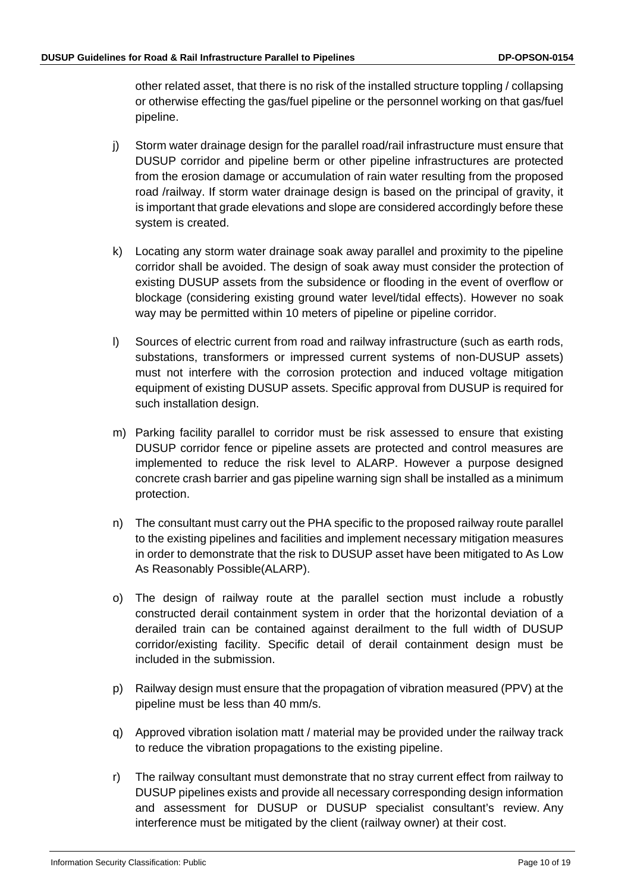other related asset, that there is no risk of the installed structure toppling / collapsing or otherwise effecting the gas/fuel pipeline or the personnel working on that gas/fuel pipeline.

- j) Storm water drainage design for the parallel road/rail infrastructure must ensure that DUSUP corridor and pipeline berm or other pipeline infrastructures are protected from the erosion damage or accumulation of rain water resulting from the proposed road /railway. If storm water drainage design is based on the principal of gravity, it is important that grade elevations and slope are considered accordingly before these system is created.
- k) Locating any storm water drainage soak away parallel and proximity to the pipeline corridor shall be avoided. The design of soak away must consider the protection of existing DUSUP assets from the subsidence or flooding in the event of overflow or blockage (considering existing ground water level/tidal effects). However no soak way may be permitted within 10 meters of pipeline or pipeline corridor.
- l) Sources of electric current from road and railway infrastructure (such as earth rods, substations, transformers or impressed current systems of non-DUSUP assets) must not interfere with the corrosion protection and induced voltage mitigation equipment of existing DUSUP assets. Specific approval from DUSUP is required for such installation design.
- m) Parking facility parallel to corridor must be risk assessed to ensure that existing DUSUP corridor fence or pipeline assets are protected and control measures are implemented to reduce the risk level to ALARP. However a purpose designed concrete crash barrier and gas pipeline warning sign shall be installed as a minimum protection.
- n) The consultant must carry out the PHA specific to the proposed railway route parallel to the existing pipelines and facilities and implement necessary mitigation measures in order to demonstrate that the risk to DUSUP asset have been mitigated to As Low As Reasonably Possible(ALARP).
- o) The design of railway route at the parallel section must include a robustly constructed derail containment system in order that the horizontal deviation of a derailed train can be contained against derailment to the full width of DUSUP corridor/existing facility. Specific detail of derail containment design must be included in the submission.
- p) Railway design must ensure that the propagation of vibration measured (PPV) at the pipeline must be less than 40 mm/s.
- q) Approved vibration isolation matt / material may be provided under the railway track to reduce the vibration propagations to the existing pipeline.
- r) The railway consultant must demonstrate that no stray current effect from railway to DUSUP pipelines exists and provide all necessary corresponding design information and assessment for DUSUP or DUSUP specialist consultant's review. Any interference must be mitigated by the client (railway owner) at their cost.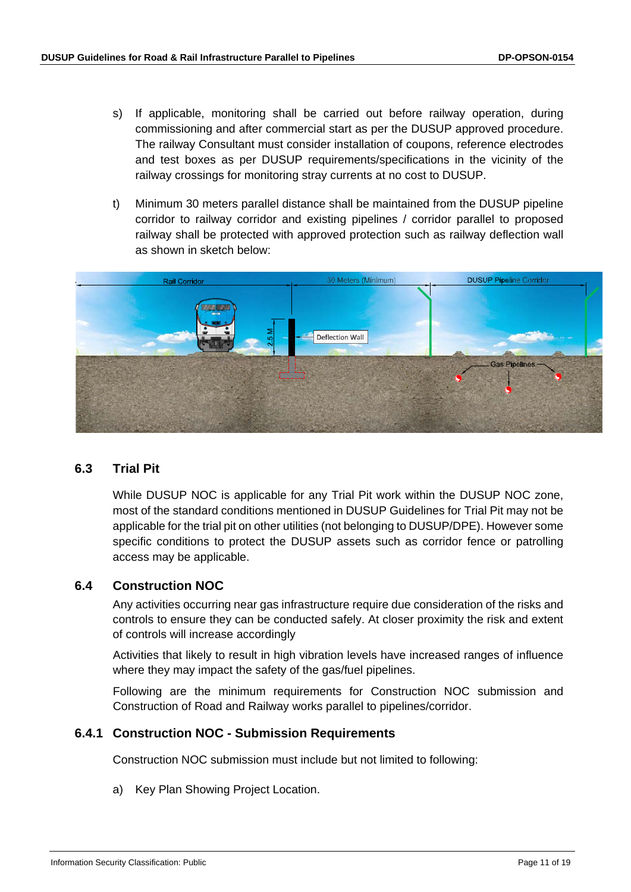- s) If applicable, monitoring shall be carried out before railway operation, during commissioning and after commercial start as per the DUSUP approved procedure. The railway Consultant must consider installation of coupons, reference electrodes and test boxes as per DUSUP requirements/specifications in the vicinity of the railway crossings for monitoring stray currents at no cost to DUSUP.
- t) Minimum 30 meters parallel distance shall be maintained from the DUSUP pipeline corridor to railway corridor and existing pipelines / corridor parallel to proposed railway shall be protected with approved protection such as railway deflection wall as shown in sketch below:



## <span id="page-10-0"></span>**6.3 Trial Pit**

While DUSUP NOC is applicable for any Trial Pit work within the DUSUP NOC zone, most of the standard conditions mentioned in DUSUP Guidelines for Trial Pit may not be applicable for the trial pit on other utilities (not belonging to DUSUP/DPE). However some specific conditions to protect the DUSUP assets such as corridor fence or patrolling access may be applicable.

#### <span id="page-10-1"></span>**6.4 Construction NOC**

Any activities occurring near gas infrastructure require due consideration of the risks and controls to ensure they can be conducted safely. At closer proximity the risk and extent of controls will increase accordingly

Activities that likely to result in high vibration levels have increased ranges of influence where they may impact the safety of the gas/fuel pipelines.

Following are the minimum requirements for Construction NOC submission and Construction of Road and Railway works parallel to pipelines/corridor.

#### <span id="page-10-2"></span>**6.4.1 Construction NOC - Submission Requirements**

Construction NOC submission must include but not limited to following:

a) Key Plan Showing Project Location.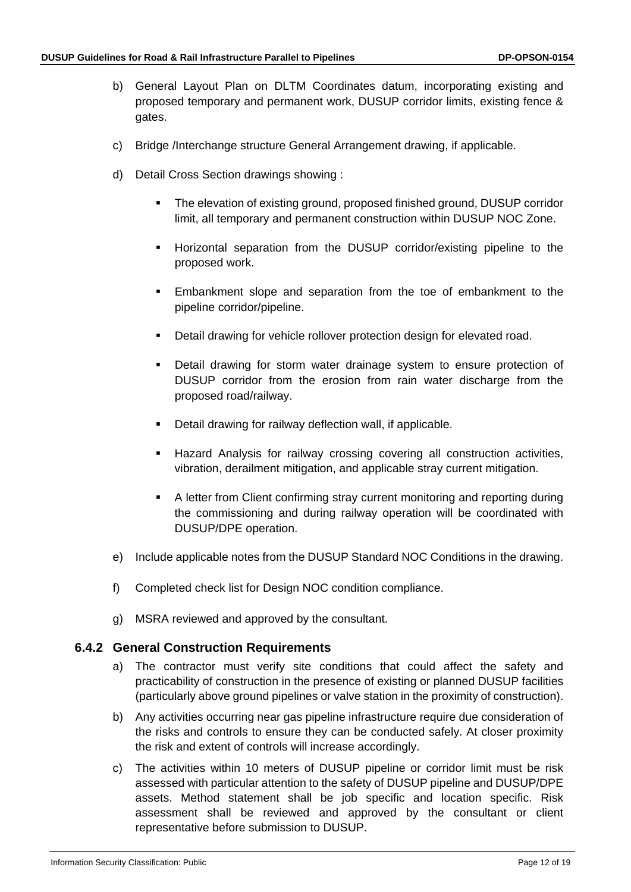- b) General Layout Plan on DLTM Coordinates datum, incorporating existing and proposed temporary and permanent work, DUSUP corridor limits, existing fence & gates.
- c) Bridge /Interchange structure General Arrangement drawing, if applicable.
- d) Detail Cross Section drawings showing :
	- The elevation of existing ground, proposed finished ground, DUSUP corridor limit, all temporary and permanent construction within DUSUP NOC Zone.
	- Horizontal separation from the DUSUP corridor/existing pipeline to the proposed work.
	- Embankment slope and separation from the toe of embankment to the pipeline corridor/pipeline.
	- Detail drawing for vehicle rollover protection design for elevated road.
	- Detail drawing for storm water drainage system to ensure protection of DUSUP corridor from the erosion from rain water discharge from the proposed road/railway.
	- **•** Detail drawing for railway deflection wall, if applicable.
	- Hazard Analysis for railway crossing covering all construction activities, vibration, derailment mitigation, and applicable stray current mitigation.
	- A letter from Client confirming stray current monitoring and reporting during the commissioning and during railway operation will be coordinated with DUSUP/DPE operation.
- e) Include applicable notes from the DUSUP Standard NOC Conditions in the drawing.
- f) Completed check list for Design NOC condition compliance.
- g) MSRA reviewed and approved by the consultant.

## <span id="page-11-0"></span>**6.4.2 General Construction Requirements**

- a) The contractor must verify site conditions that could affect the safety and practicability of construction in the presence of existing or planned DUSUP facilities (particularly above ground pipelines or valve station in the proximity of construction).
- b) Any activities occurring near gas pipeline infrastructure require due consideration of the risks and controls to ensure they can be conducted safely. At closer proximity the risk and extent of controls will increase accordingly.
- c) The activities within 10 meters of DUSUP pipeline or corridor limit must be risk assessed with particular attention to the safety of DUSUP pipeline and DUSUP/DPE assets. Method statement shall be job specific and location specific. Risk assessment shall be reviewed and approved by the consultant or client representative before submission to DUSUP.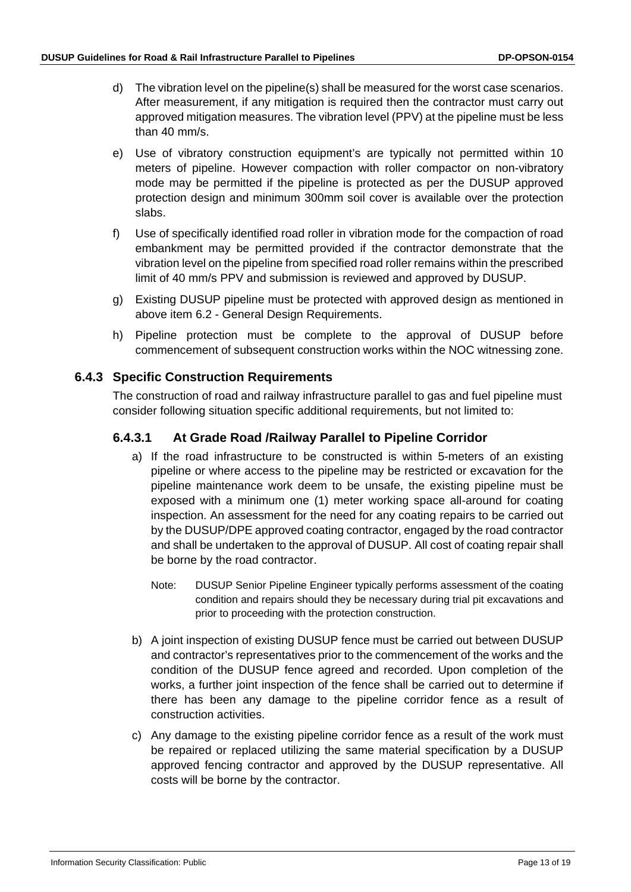- d) The vibration level on the pipeline(s) shall be measured for the worst case scenarios. After measurement, if any mitigation is required then the contractor must carry out approved mitigation measures. The vibration level (PPV) at the pipeline must be less than 40 mm/s.
- e) Use of vibratory construction equipment's are typically not permitted within 10 meters of pipeline. However compaction with roller compactor on non-vibratory mode may be permitted if the pipeline is protected as per the DUSUP approved protection design and minimum 300mm soil cover is available over the protection slabs.
- f) Use of specifically identified road roller in vibration mode for the compaction of road embankment may be permitted provided if the contractor demonstrate that the vibration level on the pipeline from specified road roller remains within the prescribed limit of 40 mm/s PPV and submission is reviewed and approved by DUSUP.
- g) Existing DUSUP pipeline must be protected with approved design as mentioned in above item [6.2](#page-8-0) - General Design Requirements.
- h) Pipeline protection must be complete to the approval of DUSUP before commencement of subsequent construction works within the NOC witnessing zone.

## <span id="page-12-0"></span>**6.4.3 Specific Construction Requirements**

The construction of road and railway infrastructure parallel to gas and fuel pipeline must consider following situation specific additional requirements, but not limited to:

## <span id="page-12-1"></span>**6.4.3.1 At Grade Road /Railway Parallel to Pipeline Corridor**

- a) If the road infrastructure to be constructed is within 5-meters of an existing pipeline or where access to the pipeline may be restricted or excavation for the pipeline maintenance work deem to be unsafe, the existing pipeline must be exposed with a minimum one (1) meter working space all-around for coating inspection. An assessment for the need for any coating repairs to be carried out by the DUSUP/DPE approved coating contractor, engaged by the road contractor and shall be undertaken to the approval of DUSUP. All cost of coating repair shall be borne by the road contractor.
	- Note: DUSUP Senior Pipeline Engineer typically performs assessment of the coating condition and repairs should they be necessary during trial pit excavations and prior to proceeding with the protection construction.
- b) A joint inspection of existing DUSUP fence must be carried out between DUSUP and contractor's representatives prior to the commencement of the works and the condition of the DUSUP fence agreed and recorded. Upon completion of the works, a further joint inspection of the fence shall be carried out to determine if there has been any damage to the pipeline corridor fence as a result of construction activities.
- c) Any damage to the existing pipeline corridor fence as a result of the work must be repaired or replaced utilizing the same material specification by a DUSUP approved fencing contractor and approved by the DUSUP representative. All costs will be borne by the contractor.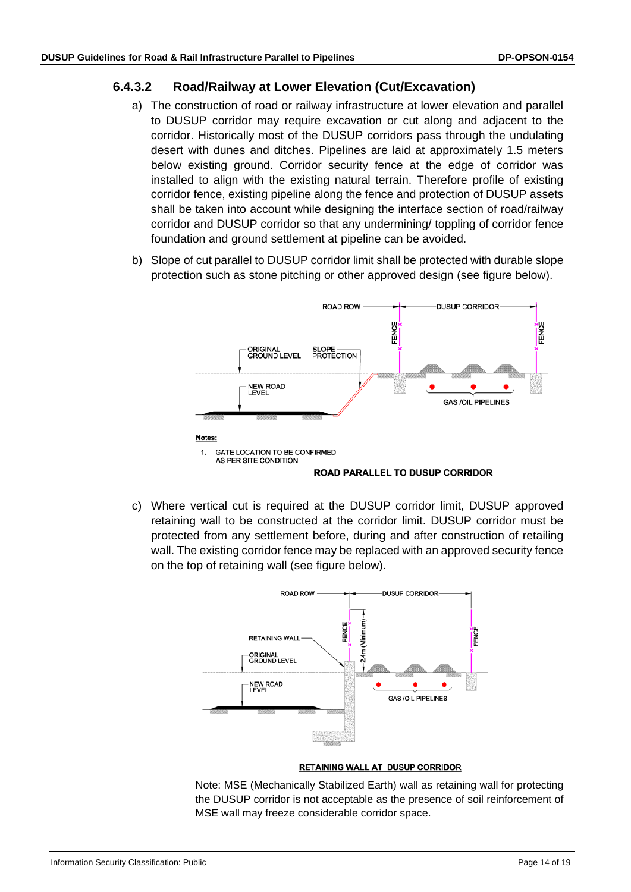#### <span id="page-13-0"></span>**6.4.3.2 Road/Railway at Lower Elevation (Cut/Excavation)**

- a) The construction of road or railway infrastructure at lower elevation and parallel to DUSUP corridor may require excavation or cut along and adjacent to the corridor. Historically most of the DUSUP corridors pass through the undulating desert with dunes and ditches. Pipelines are laid at approximately 1.5 meters below existing ground. Corridor security fence at the edge of corridor was installed to align with the existing natural terrain. Therefore profile of existing corridor fence, existing pipeline along the fence and protection of DUSUP assets shall be taken into account while designing the interface section of road/railway corridor and DUSUP corridor so that any undermining/ toppling of corridor fence foundation and ground settlement at pipeline can be avoided.
- b) Slope of cut parallel to DUSUP corridor limit shall be protected with durable slope protection such as stone pitching or other approved design (see figure below).



c) Where vertical cut is required at the DUSUP corridor limit, DUSUP approved retaining wall to be constructed at the corridor limit. DUSUP corridor must be protected from any settlement before, during and after construction of retailing wall. The existing corridor fence may be replaced with an approved security fence on the top of retaining wall (see figure below).



#### RETAINING WALL AT DUSUP CORRIDOR

Note: MSE (Mechanically Stabilized Earth) wall as retaining wall for protecting the DUSUP corridor is not acceptable as the presence of soil reinforcement of MSE wall may freeze considerable corridor space.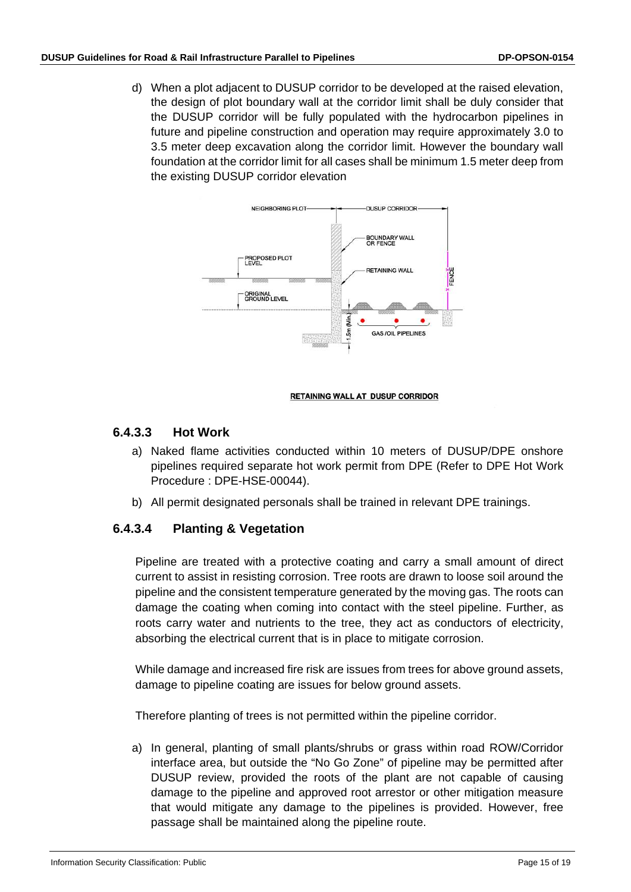d) When a plot adjacent to DUSUP corridor to be developed at the raised elevation, the design of plot boundary wall at the corridor limit shall be duly consider that the DUSUP corridor will be fully populated with the hydrocarbon pipelines in future and pipeline construction and operation may require approximately 3.0 to 3.5 meter deep excavation along the corridor limit. However the boundary wall foundation at the corridor limit for all cases shall be minimum 1.5 meter deep from the existing DUSUP corridor elevation



#### **RETAINING WALL AT DUSUP CORRIDOR**

## <span id="page-14-0"></span>**6.4.3.3 Hot Work**

- a) Naked flame activities conducted within 10 meters of DUSUP/DPE onshore pipelines required separate hot work permit from DPE (Refer to DPE Hot Work Procedure : DPE-HSE-00044).
- b) All permit designated personals shall be trained in relevant DPE trainings.

## <span id="page-14-1"></span>**6.4.3.4 Planting & Vegetation**

Pipeline are treated with a protective coating and carry a small amount of direct current to assist in resisting corrosion. Tree roots are drawn to loose soil around the pipeline and the consistent temperature generated by the moving gas. The roots can damage the coating when coming into contact with the steel pipeline. Further, as roots carry water and nutrients to the tree, they act as conductors of electricity, absorbing the electrical current that is in place to mitigate corrosion.

While damage and increased fire risk are issues from trees for above ground assets, damage to pipeline coating are issues for below ground assets.

Therefore planting of trees is not permitted within the pipeline corridor.

a) In general, planting of small plants/shrubs or grass within road ROW/Corridor interface area, but outside the "No Go Zone" of pipeline may be permitted after DUSUP review, provided the roots of the plant are not capable of causing damage to the pipeline and approved root arrestor or other mitigation measure that would mitigate any damage to the pipelines is provided. However, free passage shall be maintained along the pipeline route.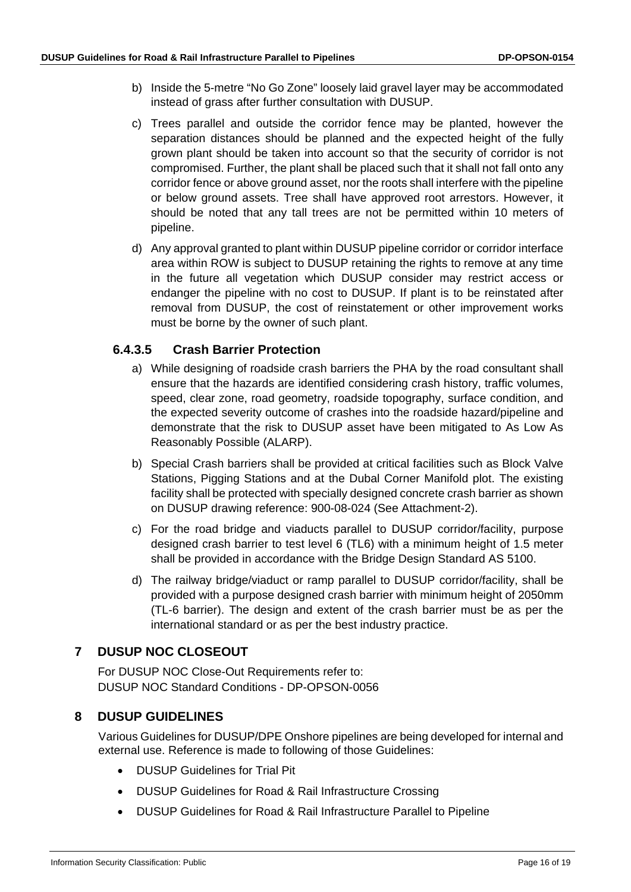- b) Inside the 5-metre "No Go Zone" loosely laid gravel layer may be accommodated instead of grass after further consultation with DUSUP.
- c) Trees parallel and outside the corridor fence may be planted, however the separation distances should be planned and the expected height of the fully grown plant should be taken into account so that the security of corridor is not compromised. Further, the plant shall be placed such that it shall not fall onto any corridor fence or above ground asset, nor the roots shall interfere with the pipeline or below ground assets. Tree shall have approved root arrestors. However, it should be noted that any tall trees are not be permitted within 10 meters of pipeline.
- d) Any approval granted to plant within DUSUP pipeline corridor or corridor interface area within ROW is subject to DUSUP retaining the rights to remove at any time in the future all vegetation which DUSUP consider may restrict access or endanger the pipeline with no cost to DUSUP. If plant is to be reinstated after removal from DUSUP, the cost of reinstatement or other improvement works must be borne by the owner of such plant.

## <span id="page-15-0"></span>**6.4.3.5 Crash Barrier Protection**

- a) While designing of roadside crash barriers the PHA by the road consultant shall ensure that the hazards are identified considering crash history, traffic volumes, speed, clear zone, road geometry, roadside topography, surface condition, and the expected severity outcome of crashes into the roadside hazard/pipeline and demonstrate that the risk to DUSUP asset have been mitigated to As Low As Reasonably Possible (ALARP).
- b) Special Crash barriers shall be provided at critical facilities such as Block Valve Stations, Pigging Stations and at the Dubal Corner Manifold plot. The existing facility shall be protected with specially designed concrete crash barrier as shown on DUSUP drawing reference: 900-08-024 (See Attachment-2).
- c) For the road bridge and viaducts parallel to DUSUP corridor/facility, purpose designed crash barrier to test level 6 (TL6) with a minimum height of 1.5 meter shall be provided in accordance with the Bridge Design Standard AS 5100.
- d) The railway bridge/viaduct or ramp parallel to DUSUP corridor/facility, shall be provided with a purpose designed crash barrier with minimum height of 2050mm (TL-6 barrier). The design and extent of the crash barrier must be as per the international standard or as per the best industry practice.

## <span id="page-15-1"></span>**7 DUSUP NOC CLOSEOUT**

For DUSUP NOC Close-Out Requirements refer to: DUSUP NOC Standard Conditions - DP-OPSON-0056

## <span id="page-15-2"></span>**8 DUSUP GUIDELINES**

Various Guidelines for DUSUP/DPE Onshore pipelines are being developed for internal and external use. Reference is made to following of those Guidelines:

- DUSUP Guidelines for Trial Pit
- DUSUP Guidelines for Road & Rail Infrastructure Crossing
- DUSUP Guidelines for Road & Rail Infrastructure Parallel to Pipeline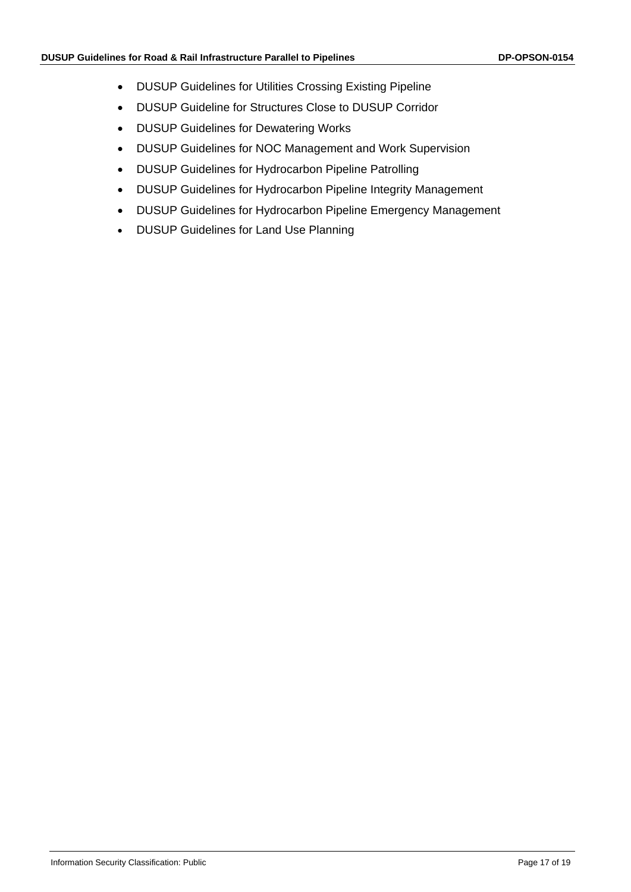- DUSUP Guidelines for Utilities Crossing Existing Pipeline
- DUSUP Guideline for Structures Close to DUSUP Corridor
- DUSUP Guidelines for Dewatering Works
- DUSUP Guidelines for NOC Management and Work Supervision
- DUSUP Guidelines for Hydrocarbon Pipeline Patrolling
- DUSUP Guidelines for Hydrocarbon Pipeline Integrity Management
- DUSUP Guidelines for Hydrocarbon Pipeline Emergency Management
- DUSUP Guidelines for Land Use Planning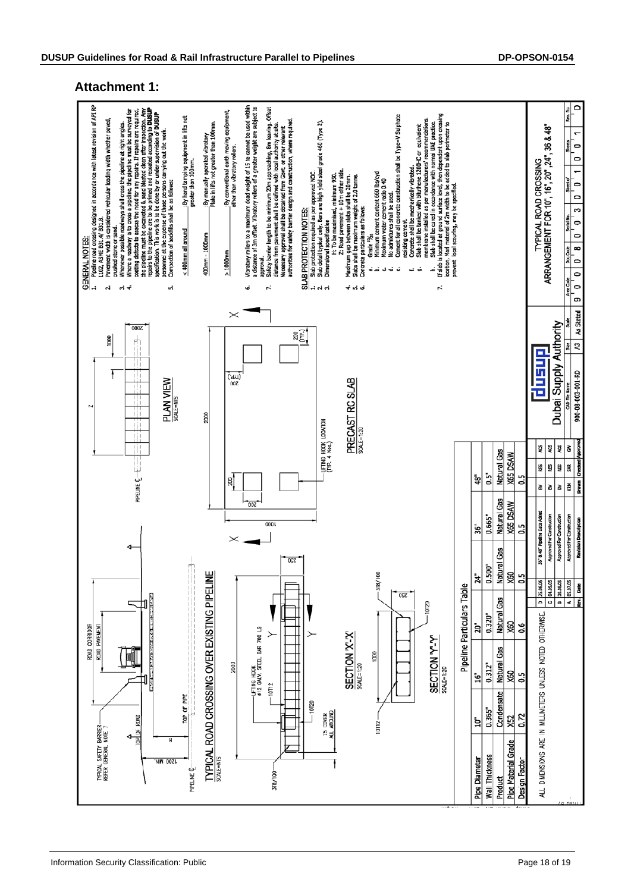#### **Attachment 1:**

<span id="page-17-0"></span>